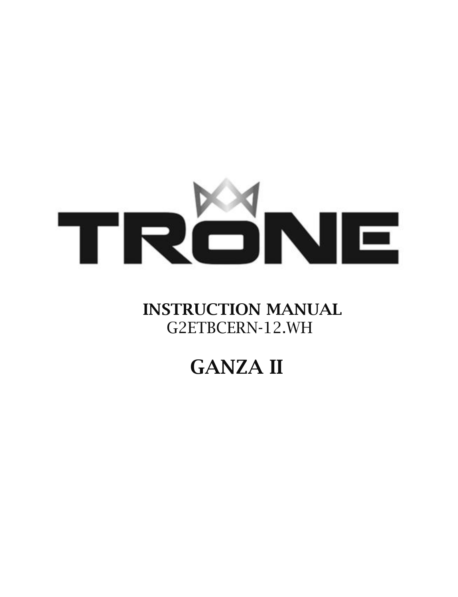

## INSTRUCTION MANUAL G2ETBCERN-12.WH

# GANZA II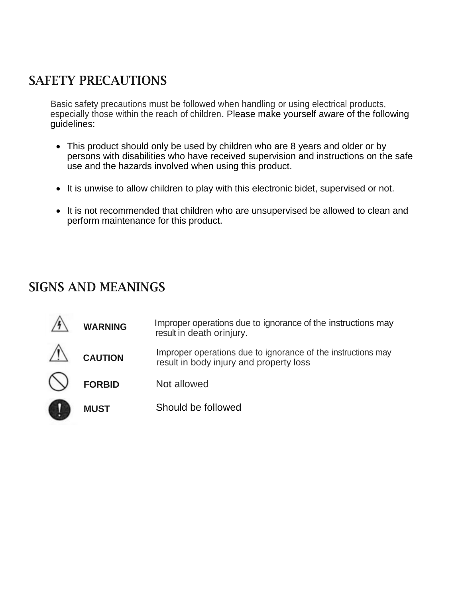### SAFETY PRECAUTIONS

Basic safety precautions must be followed when handling or using electrical products, especially those within the reach of children. Please make yourself aware of the following guidelines:

- This product should only be used by children who are 8 years and older or by persons with disabilities who have received supervision and instructions on the safe use and the hazards involved when using this product.
- It is unwise to allow children to play with this electronic bidet, supervised or not.
- It is not recommended that children who are unsupervised be allowed to clean and perform maintenance for this product.

### SIGNS AND MEANINGS

| <b>WARNING</b> | Improper operations due to ignorance of the instructions may<br>result in death or injury.              |
|----------------|---------------------------------------------------------------------------------------------------------|
| <b>CAUTION</b> | Improper operations due to ignorance of the instructions may<br>result in body injury and property loss |
| <b>FORBID</b>  | Not allowed                                                                                             |
| <b>MUST</b>    | Should be followed                                                                                      |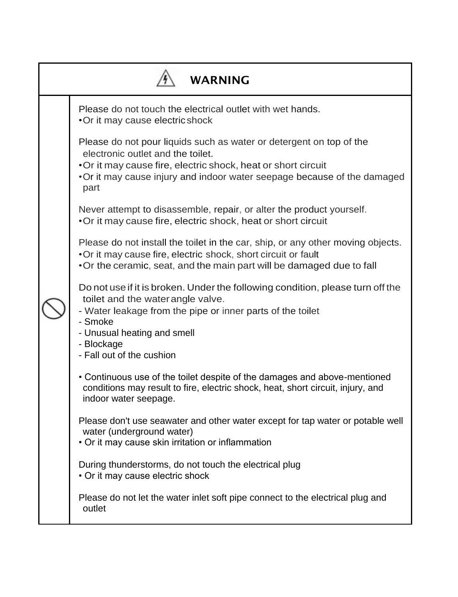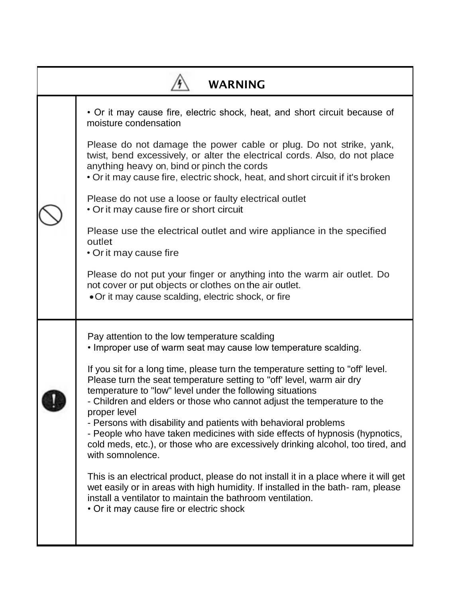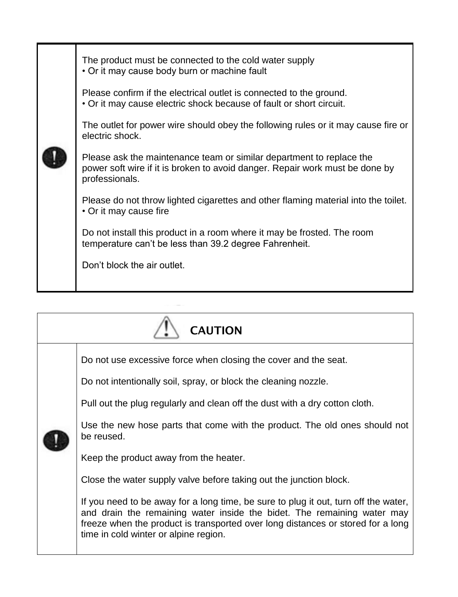

| <b>CAUTION</b> |                                                                                                                                                                                                                                                                                                                                                                  |  |  |
|----------------|------------------------------------------------------------------------------------------------------------------------------------------------------------------------------------------------------------------------------------------------------------------------------------------------------------------------------------------------------------------|--|--|
|                | Do not use excessive force when closing the cover and the seat.<br>Do not intentionally soil, spray, or block the cleaning nozzle.<br>Pull out the plug regularly and clean off the dust with a dry cotton cloth.<br>Use the new hose parts that come with the product. The old ones should not<br>be reused.<br>Keep the product away from the heater.          |  |  |
|                | Close the water supply valve before taking out the junction block.<br>If you need to be away for a long time, be sure to plug it out, turn off the water,<br>and drain the remaining water inside the bidet. The remaining water may<br>freeze when the product is transported over long distances or stored for a long<br>time in cold winter or alpine region. |  |  |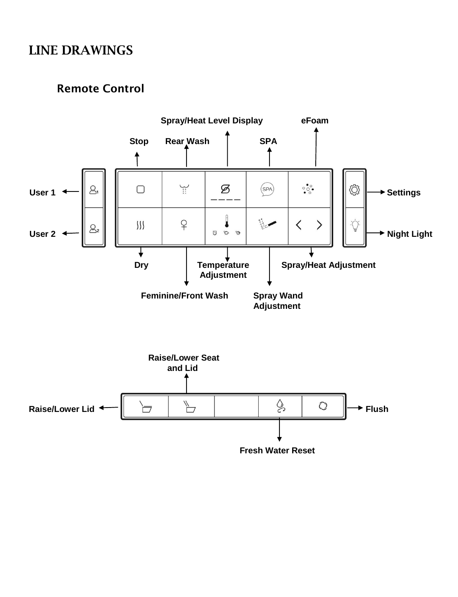## LINE DRAWINGS

#### Remote Control

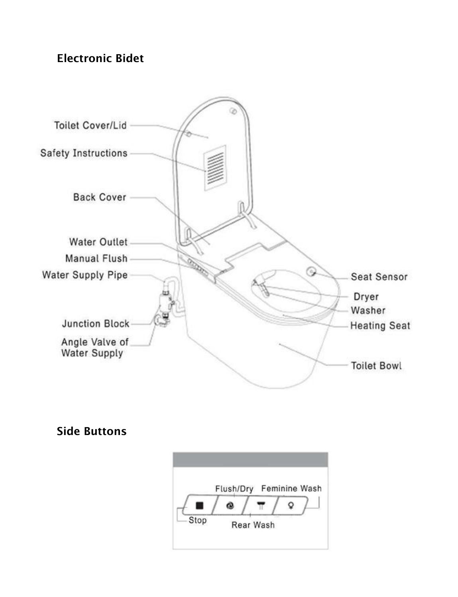### Electronic Bidet



### Side Buttons

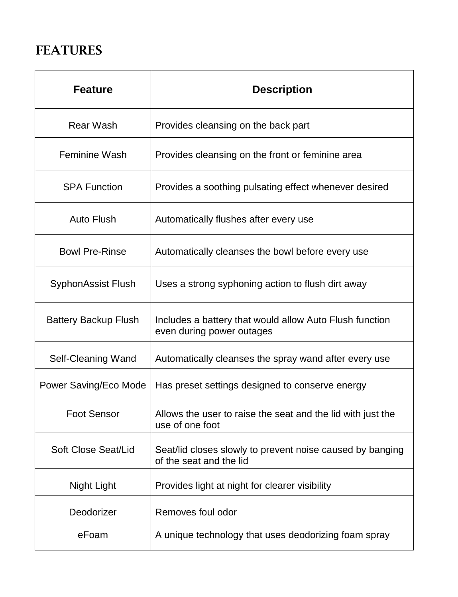## FEATURES

| <b>Feature</b>              | <b>Description</b>                                                                   |
|-----------------------------|--------------------------------------------------------------------------------------|
| <b>Rear Wash</b>            | Provides cleansing on the back part                                                  |
| <b>Feminine Wash</b>        | Provides cleansing on the front or feminine area                                     |
| <b>SPA Function</b>         | Provides a soothing pulsating effect whenever desired                                |
| <b>Auto Flush</b>           | Automatically flushes after every use                                                |
| <b>Bowl Pre-Rinse</b>       | Automatically cleanses the bowl before every use                                     |
| <b>SyphonAssist Flush</b>   | Uses a strong syphoning action to flush dirt away                                    |
| <b>Battery Backup Flush</b> | Includes a battery that would allow Auto Flush function<br>even during power outages |
| Self-Cleaning Wand          | Automatically cleanses the spray wand after every use                                |
| Power Saving/Eco Mode       | Has preset settings designed to conserve energy                                      |
| <b>Foot Sensor</b>          | Allows the user to raise the seat and the lid with just the<br>use of one foot       |
| Soft Close Seat/Lid         | Seat/lid closes slowly to prevent noise caused by banging<br>of the seat and the lid |
| Night Light                 | Provides light at night for clearer visibility                                       |
| Deodorizer                  | Removes foul odor                                                                    |
| eFoam                       | A unique technology that uses deodorizing foam spray                                 |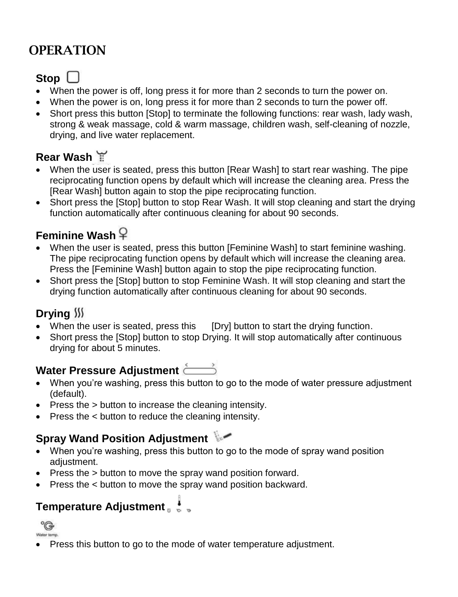## **OPERATION**

## Stop  $\Box$

- When the power is off, long press it for more than 2 seconds to turn the power on.
- When the power is on, long press it for more than 2 seconds to turn the power off.
- Short press this button [Stop] to terminate the following functions: rear wash, lady wash, strong & weak massage, cold & warm massage, children wash, self-cleaning of nozzle, drying, and live water replacement.

### **Rear Wash**

- When the user is seated, press this button [Rear Wash] to start rear washing. The pipe reciprocating function opens by default which will increase the cleaning area. Press the [Rear Wash] button again to stop the pipe reciprocating function.
- Short press the [Stop] button to stop Rear Wash. It will stop cleaning and start the drying function automatically after continuous cleaning for about 90 seconds.

### **Feminine Wash**

- When the user is seated, press this button [Feminine Wash] to start feminine washing. The pipe reciprocating function opens by default which will increase the cleaning area. Press the [Feminine Wash] button again to stop the pipe reciprocating function.
- Short press the [Stop] button to stop Feminine Wash. It will stop cleaning and start the drying function automatically after continuous cleaning for about 90 seconds.

### **Drying**

- When the user is seated, press this [Dry] button to start the drying function.
- Short press the [Stop] button to stop Drying. It will stop automatically after continuous drying for about 5 minutes.

### Water Pressure Adjustment

- When you're washing, press this button to go to the mode of water pressure adjustment (default).
- Press the > button to increase the cleaning intensity.
- Press the < button to reduce the cleaning intensity.

### **Spray Wand Position Adjustment**

- When you're washing, press this button to go to the mode of spray wand position adjustment.
- Press the > button to move the spray wand position forward.
- Press the < button to move the spray wand position backward.

## **Temperature Adjustment a**



Press this button to go to the mode of water temperature adjustment.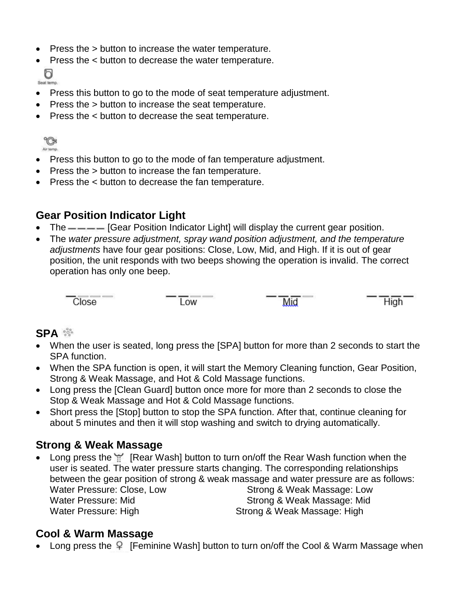- Press the > button to increase the water temperature.
- Press the < button to decrease the water temperature. ď

Seat temp.

- Press this button to go to the mode of seat temperature adjustment.
- Press the > button to increase the seat temperature.
- Press the < button to decrease the seat temperature.



- Press this button to go to the mode of fan temperature adjustment.
- Press the > button to increase the fan temperature.
- Press the < button to decrease the fan temperature.

#### **Gear Position Indicator Light**

- The  $---$  [Gear Position Indicator Light] will display the current gear position.
- The *water pressure adjustment, spray wand position adjustment, and the temperature adjustments* have four gear positions: Close, Low, Mid, and High. If it is out of gear position, the unit responds with two beeps showing the operation is invalid. The correct operation has only one beep.



Low

Mid

High

#### **SPA**

- When the user is seated, long press the [SPA] button for more than 2 seconds to start the SPA function.
- When the SPA function is open, it will start the Memory Cleaning function, Gear Position, Strong & Weak Massage, and Hot & Cold Massage functions.
- Long press the [Clean Guard] button once more for more than 2 seconds to close the Stop & Weak Massage and Hot & Cold Massage functions.
- Short press the [Stop] button to stop the SPA function. After that, continue cleaning for about 5 minutes and then it will stop washing and switch to drying automatically.

#### **Strong & Weak Massage**

• Long press the **[Rear Wash] button to turn on/off the Rear Wash function when the** user is seated. The water pressure starts changing. The corresponding relationships between the gear position of strong & weak massage and water pressure are as follows: Water Pressure: Close, Low Strong & Weak Massage: Low Water Pressure: Mid
Water Pressure: Mid
Strong & Weak Massage: Mid
Strong & Weak Massage: Mid
Strong & Weak Massage: Mid
Strong & Weak Massage: Mid
Strong & Weak Massage: Mid
Strong & Weak Massage: Mid Water Pressure: High Strong & Weak Massage: High

#### **Cool & Warm Massage**

• Long press the  $\overline{P}$  [Feminine Wash] button to turn on/off the Cool & Warm Massage when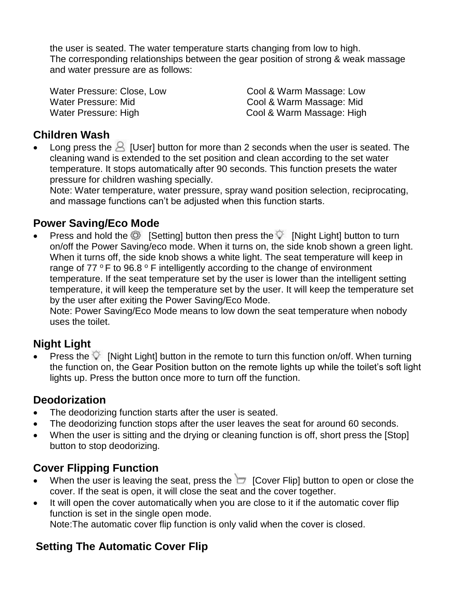the user is seated. The water temperature starts changing from low to high. The corresponding relationships between the gear position of strong & weak massage and water pressure are as follows:

Water Pressure: Close, Low Cool & Warm Massage: Low Water Pressure: Mid
Water Pressure: Mid
Water Pressure: Mid
Water
annum Cool & Warm Massage: Mid
Water
Pressure: Mid
Water
annum Cool & Warm
Massage: Mid
Water
Pressure: Mid
Water
Bressure: Mid
Water
Bressure: Mid
Water
Br Water Pressure: High Cool & Warm Massage: High

#### **Children Wash**

• Long press the  $\triangle$  [User] button for more than 2 seconds when the user is seated. The cleaning wand is extended to the set position and clean according to the set water temperature. It stops automatically after 90 seconds. This function presets the water pressure for children washing specially.

Note: Water temperature, water pressure, spray wand position selection, reciprocating, and massage functions can't be adjusted when this function starts.

#### **Power Saving/Eco Mode**

Press and hold the  $\odot$  [Setting] button then press the  $\circ$  [Night Light] button to turn on/off the Power Saving/eco mode. When it turns on, the side knob shown a green light. When it turns off, the side knob shows a white light. The seat temperature will keep in range of  $77 \degree$ F to  $96.8 \degree$ F intelligently according to the change of environment temperature. If the seat temperature set by the user is lower than the intelligent setting temperature, it will keep the temperature set by the user. It will keep the temperature set by the user after exiting the Power Saving/Eco Mode.

Note: Power Saving/Eco Mode means to low down the seat temperature when nobody uses the toilet.

### **Night Light**

Press the  $\heartsuit$  [Night Light] button in the remote to turn this function on/off. When turning the function on, the Gear Position button on the remote lights up while the toilet's soft light lights up. Press the button once more to turn off the function.

#### **Deodorization**

- The deodorizing function starts after the user is seated.
- The deodorizing function stops after the user leaves the seat for around 60 seconds.
- When the user is sitting and the drying or cleaning function is off, short press the [Stop] button to stop deodorizing.

### **Cover Flipping Function**

- When the user is leaving the seat, press the  $\Box$  [Cover Flip] button to open or close the cover. If the seat is open, it will close the seat and the cover together.
- It will open the cover automatically when you are close to it if the automatic cover flip function is set in the single open mode. Note:The automatic cover flip function is only valid when the cover is closed.

### **Setting The Automatic Cover Flip**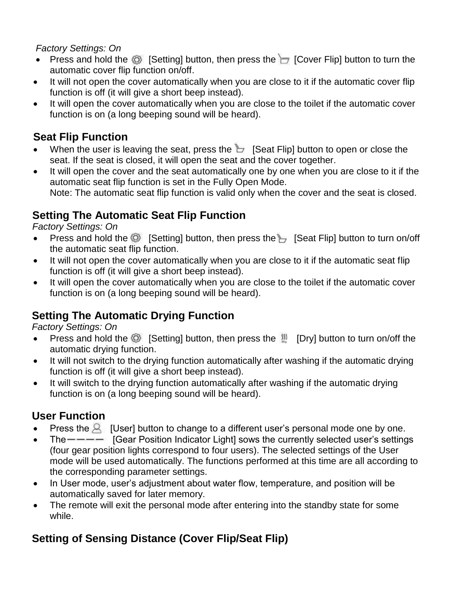#### *Factory Settings: On*

- Press and hold the  $\circled{S}$  [Setting] button, then press the  $\cdot$  [Cover Flip] button to turn the automatic cover flip function on/off.
- It will not open the cover automatically when you are close to it if the automatic cover flip function is off (it will give a short beep instead).
- It will open the cover automatically when you are close to the toilet if the automatic cover function is on (a long beeping sound will be heard).

### **Seat Flip Function**

- When the user is leaving the seat, press the  $\overline{b}$  [Seat Flip] button to open or close the seat. If the seat is closed, it will open the seat and the cover together.
- It will open the cover and the seat automatically one by one when you are close to it if the automatic seat flip function is set in the Fully Open Mode. Note: The automatic seat flip function is valid only when the cover and the seat is closed.

### **Setting The Automatic Seat Flip Function**

#### *Factory Settings: On*

- Press and hold the  $\circled{C}$  [Setting] button, then press the  $\vdash$  [Seat Flip] button to turn on/off the automatic seat flip function.
- It will not open the cover automatically when you are close to it if the automatic seat flip function is off (it will give a short beep instead).
- It will open the cover automatically when you are close to the toilet if the automatic cover function is on (a long beeping sound will be heard).

### **Setting The Automatic Drying Function**

#### *Factory Settings: On*

- Press and hold the  $\circled{C}$  [Setting] button, then press the  $\mathbb{W}$  [Dry] button to turn on/off the automatic drying function.
- It will not switch to the drying function automatically after washing if the automatic drying function is off (it will give a short beep instead).
- It will switch to the drying function automatically after washing if the automatic drying function is on (a long beeping sound will be heard).

### **User Function**

- **Press the A** [User] button to change to a different user's personal mode one by one.
- The  $---$  [Gear Position Indicator Light] sows the currently selected user's settings (four gear position lights correspond to four users). The selected settings of the User mode will be used automatically. The functions performed at this time are all according to the corresponding parameter settings.
- In User mode, user's adjustment about water flow, temperature, and position will be automatically saved for later memory.
- The remote will exit the personal mode after entering into the standby state for some while.

### **Setting of Sensing Distance (Cover Flip/Seat Flip)**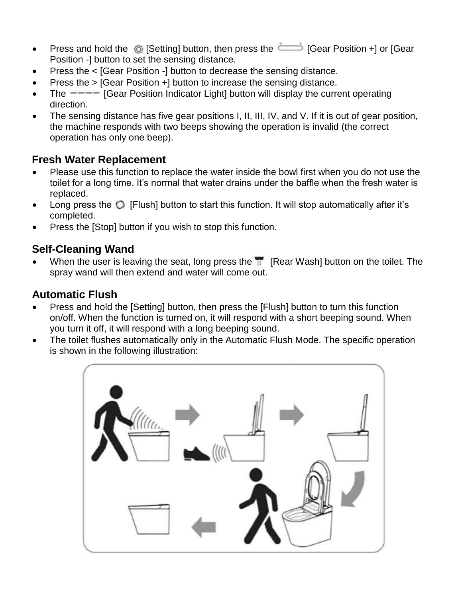- Press and hold the  $\circledcirc$  [Setting] button, then press the  $\circledcirc$  [Gear Position +] or [Gear Position -] button to set the sensing distance.
- Press the < [Gear Position -] button to decrease the sensing distance.
- Press the > [Gear Position +] button to increase the sensing distance.
- The  $\frac{---}{1}$  [Gear Position Indicator Light] button will display the current operating direction.
- The sensing distance has five gear positions I, II, III, IV, and V. If it is out of gear position, the machine responds with two beeps showing the operation is invalid (the correct operation has only one beep).

#### **Fresh Water Replacement**

- Please use this function to replace the water inside the bowl first when you do not use the toilet for a long time. It's normal that water drains under the baffle when the fresh water is replaced.
- Long press the  $\bigcirc$  [Flush] button to start this function. It will stop automatically after it's completed.
- Press the [Stop] button if you wish to stop this function.

### **Self-Cleaning Wand**

When the user is leaving the seat, long press the  $\mathbb{R}$  [Rear Wash] button on the toilet. The spray wand will then extend and water will come out.

### **Automatic Flush**

- Press and hold the [Setting] button, then press the [Flush] button to turn this function on/off. When the function is turned on, it will respond with a short beeping sound. When you turn it off, it will respond with a long beeping sound.
- The toilet flushes automatically only in the Automatic Flush Mode. The specific operation is shown in the following illustration:

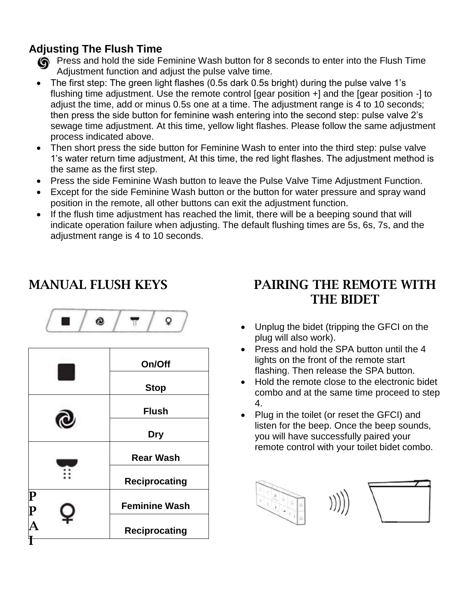### **Adjusting The Flush Time**

- **O** Press and hold the side Feminine Wash button for 8 seconds to enter into the Flush Time Adjustment function and adjust the pulse valve time.
- The first step: The green light flashes (0.5s dark 0.5s bright) during the pulse valve 1's flushing time adjustment. Use the remote control [gear position +] and the [gear position -] to adjust the time, add or minus 0.5s one at a time. The adjustment range is 4 to 10 seconds; then press the side button for feminine wash entering into the second step: pulse valve 2's sewage time adjustment. At this time, yellow light flashes. Please follow the same adjustment process indicated above.
- Then short press the side button for Feminine Wash to enter into the third step: pulse valve 1's water return time adjustment, At this time, the red light flashes. The adjustment method is the same as the first step.
- Press the side Feminine Wash button to leave the Pulse Valve Time Adjustment Function.
- Except for the side Feminine Wash button or the button for water pressure and spray wand position in the remote, all other buttons can exit the adjustment function.
- If the flush time adjustment has reached the limit, there will be a beeping sound that will indicate operation failure when adjusting. The default flushing times are 5s, 6s, 7s, and the adjustment range is 4 to 10 seconds.

## MANUAL FLUSH KEYS

$$
\boxed{\blacksquare / \lozenge / \top / \circ}
$$

|                                 | On/Off               |
|---------------------------------|----------------------|
|                                 | <b>Stop</b>          |
|                                 | <b>Flush</b>         |
|                                 | <b>Dry</b>           |
|                                 | <b>Rear Wash</b>     |
|                                 | <b>Reciprocating</b> |
| $\frac{\mathbf{P}}{\mathbf{P}}$ | <b>Feminine Wash</b> |
|                                 | <b>Reciprocating</b> |
|                                 |                      |

### PAIRING THE REMOTE WITH THE BIDET

- Unplug the bidet (tripping the GFCI on the plug will also work).
- Press and hold the SPA button until the 4 lights on the front of the remote start flashing. Then release the SPA button.
- Hold the remote close to the electronic bidet combo and at the same time proceed to step 4.
- Plug in the toilet (or reset the GFCI) and listen for the beep. Once the beep sounds, you will have successfully paired your remote control with your toilet bidet combo.

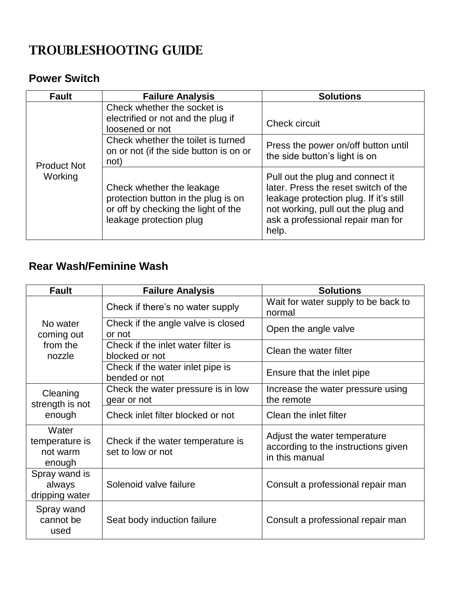## TROUBLESHOOTING GUIDE

#### **Power Switch**

| <b>Fault</b>       | <b>Failure Analysis</b>                                                                                                            | <b>Solutions</b>                                                                                                                                                                                       |
|--------------------|------------------------------------------------------------------------------------------------------------------------------------|--------------------------------------------------------------------------------------------------------------------------------------------------------------------------------------------------------|
|                    | Check whether the socket is<br>electrified or not and the plug if<br>loosened or not                                               | Check circuit                                                                                                                                                                                          |
| <b>Product Not</b> | Check whether the toilet is turned<br>on or not (if the side button is on or<br>not)                                               | Press the power on/off button until<br>the side button's light is on                                                                                                                                   |
| Working            | Check whether the leakage<br>protection button in the plug is on<br>or off by checking the light of the<br>leakage protection plug | Pull out the plug and connect it<br>later. Press the reset switch of the<br>leakage protection plug. If it's still<br>not working, pull out the plug and<br>ask a professional repair man for<br>help. |

### **Rear Wash/Feminine Wash**

| <b>Fault</b>                                  | <b>Failure Analysis</b>                                | <b>Solutions</b>                                                                      |
|-----------------------------------------------|--------------------------------------------------------|---------------------------------------------------------------------------------------|
|                                               | Check if there's no water supply                       | Wait for water supply to be back to<br>normal                                         |
| No water<br>coming out                        | Check if the angle valve is closed<br>or not           | Open the angle valve                                                                  |
| from the<br>nozzle                            | Check if the inlet water filter is<br>blocked or not   | Clean the water filter                                                                |
|                                               | Check if the water inlet pipe is<br>bended or not      | Ensure that the inlet pipe                                                            |
| Cleaning<br>strength is not                   | Check the water pressure is in low<br>gear or not      | Increase the water pressure using<br>the remote                                       |
| enough                                        | Check inlet filter blocked or not                      | Clean the inlet filter                                                                |
| Water<br>temperature is<br>not warm<br>enough | Check if the water temperature is<br>set to low or not | Adjust the water temperature<br>according to the instructions given<br>in this manual |
| Spray wand is<br>always<br>dripping water     | Solenoid valve failure                                 | Consult a professional repair man                                                     |
| Spray wand<br>cannot be<br>used               | Seat body induction failure                            | Consult a professional repair man                                                     |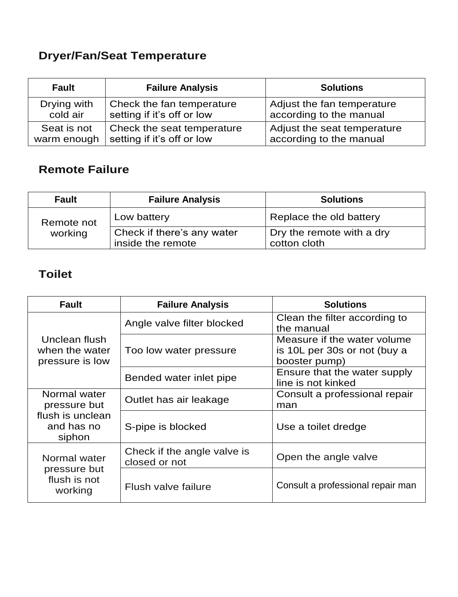## **Dryer/Fan/Seat Temperature**

| <b>Fault</b> | <b>Failure Analysis</b>    | <b>Solutions</b>            |
|--------------|----------------------------|-----------------------------|
| Drying with  | Check the fan temperature  | Adjust the fan temperature  |
| cold air     | setting if it's off or low | according to the manual     |
| Seat is not  | Check the seat temperature | Adjust the seat temperature |
| warm enough  | setting if it's off or low | according to the manual     |

### **Remote Failure**

| <b>Fault</b> | <b>Failure Analysis</b>                         | <b>Solutions</b>                          |
|--------------|-------------------------------------------------|-------------------------------------------|
| Remote not   | Low battery                                     | Replace the old battery                   |
| working      | Check if there's any water<br>inside the remote | Dry the remote with a dry<br>cotton cloth |

### **Toilet**

| <b>Fault</b>                                       | <b>Failure Analysis</b>                      | <b>Solutions</b>                                                             |
|----------------------------------------------------|----------------------------------------------|------------------------------------------------------------------------------|
| Unclean flush<br>when the water<br>pressure is low | Angle valve filter blocked                   | Clean the filter according to<br>the manual                                  |
|                                                    | Too low water pressure                       | Measure if the water volume<br>is 10L per 30s or not (buy a<br>booster pump) |
|                                                    | Bended water inlet pipe                      | Ensure that the water supply<br>line is not kinked                           |
| Normal water<br>pressure but                       | Outlet has air leakage                       | Consult a professional repair<br>man                                         |
| flush is unclean<br>and has no<br>siphon           | S-pipe is blocked                            | Use a toilet dredge                                                          |
| Normal water                                       | Check if the angle valve is<br>closed or not | Open the angle valve                                                         |
| pressure but<br>flush is not<br>working            | Flush valve failure                          | Consult a professional repair man                                            |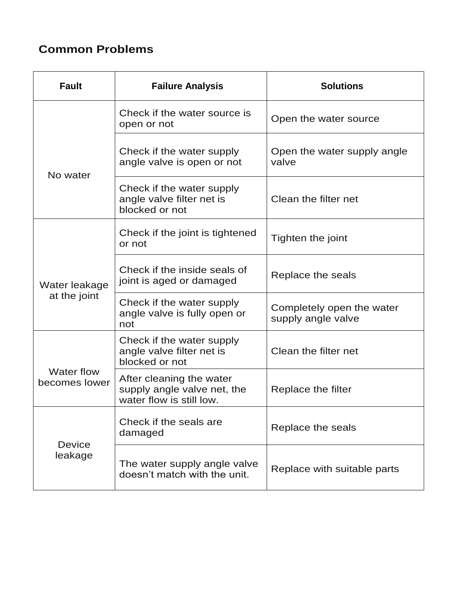### **Common Problems**

| <b>Fault</b>                       | <b>Failure Analysis</b>                                                             | <b>Solutions</b>                                |
|------------------------------------|-------------------------------------------------------------------------------------|-------------------------------------------------|
|                                    | Check if the water source is<br>open or not                                         | Open the water source                           |
| No water                           | Check if the water supply<br>angle valve is open or not                             | Open the water supply angle<br>valve            |
|                                    | Check if the water supply<br>angle valve filter net is<br>blocked or not            | Clean the filter net                            |
|                                    | Check if the joint is tightened<br>or not                                           | Tighten the joint                               |
| Water leakage<br>at the joint      | Check if the inside seals of<br>joint is aged or damaged                            | Replace the seals                               |
|                                    | Check if the water supply<br>angle valve is fully open or<br>not                    | Completely open the water<br>supply angle valve |
|                                    | Check if the water supply<br>angle valve filter net is<br>blocked or not            | Clean the filter net                            |
| <b>Water flow</b><br>becomes lower | After cleaning the water<br>supply angle valve net, the<br>water flow is still low. | Replace the filter                              |
| <b>Device</b><br>leakage           | Check if the seals are<br>damaged                                                   | Replace the seals                               |
|                                    | The water supply angle valve<br>doesn't match with the unit.                        | Replace with suitable parts                     |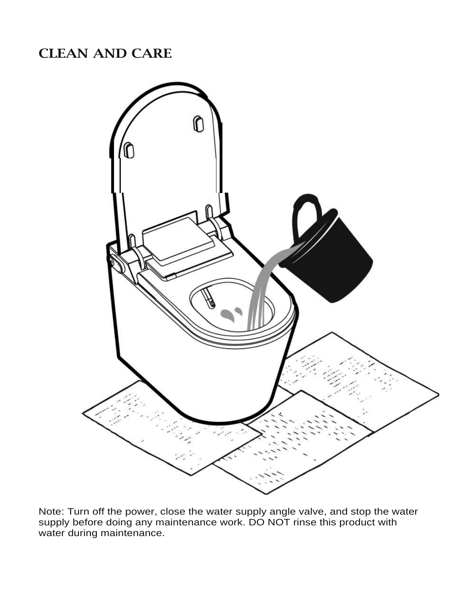### CLEAN AND CARE



Note: Turn off the power, close the water supply angle valve, and stop the water supply before doing any maintenance work. DO NOT rinse this product with water during maintenance.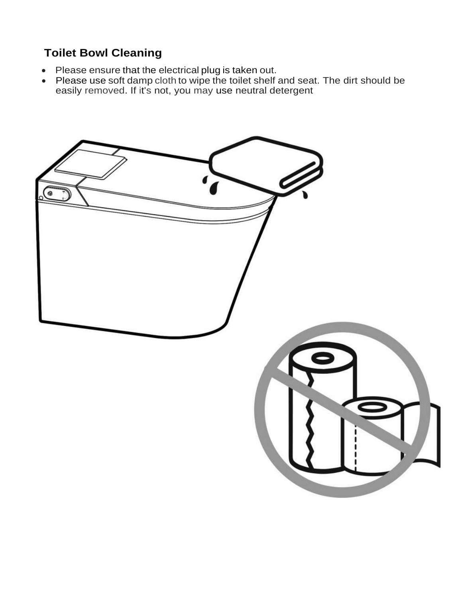### **Toilet Bowl Cleaning**

- Please ensure that the electrical plug is taken out.
- Please use soft damp cloth to wipe the toilet shelf and seat. The dirt should be easily removed. If it's not, you may use neutral detergent

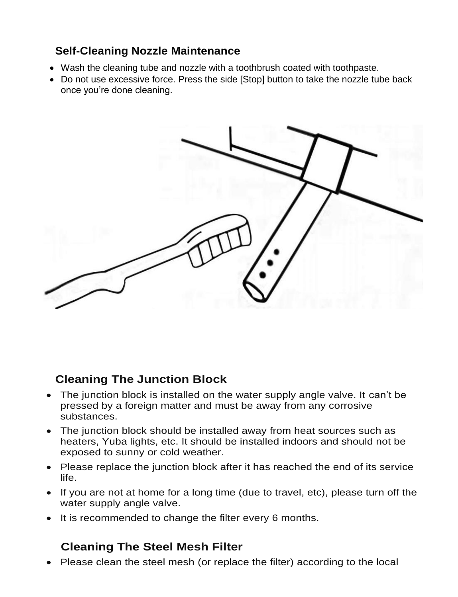#### **Self-Cleaning Nozzle Maintenance**

- Wash the cleaning tube and nozzle with a toothbrush coated with toothpaste.
- Do not use excessive force. Press the side [Stop] button to take the nozzle tube back once you're done cleaning.



### **Cleaning The Junction Block**

- The junction block is installed on the water supply angle valve. It can't be pressed by a foreign matter and must be away from any corrosive substances.
- The junction block should be installed away from heat sources such as heaters, Yuba lights, etc. It should be installed indoors and should not be exposed to sunny or cold weather.
- Please replace the junction block after it has reached the end of its service life.
- If you are not at home for a long time (due to travel, etc), please turn off the water supply angle valve.
- It is recommended to change the filter every 6 months.

#### **Cleaning The Steel Mesh Filter**

Please clean the steel mesh (or replace the filter) according to the local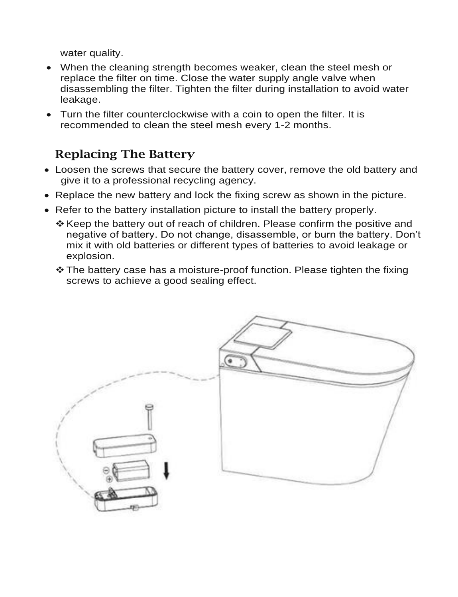water quality.

- When the cleaning strength becomes weaker, clean the steel mesh or replace the filter on time. Close the water supply angle valve when disassembling the filter. Tighten the filter during installation to avoid water leakage.
- Turn the filter counterclockwise with a coin to open the filter. It is recommended to clean the steel mesh every 1-2 months.

### Replacing The Battery

- Loosen the screws that secure the battery cover, remove the old battery and give it to a professional recycling agency.
- Replace the new battery and lock the fixing screw as shown in the picture.
- Refer to the battery installation picture to install the battery properly.
	- \* Keep the battery out of reach of children. Please confirm the positive and negative of battery. Do not change, disassemble, or burn the battery. Don't mix it with old batteries or different types of batteries to avoid leakage or explosion.
	- The battery case has a moisture-proof function. Please tighten the fixing screws to achieve a good sealing effect.